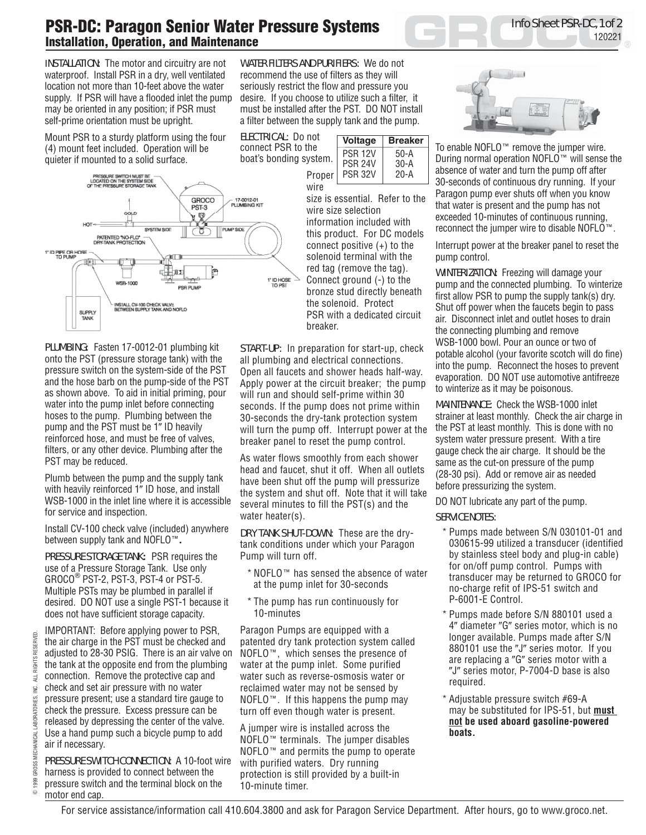## **PSR-DC: Paragon Senior Water Pressure Systems Installation, Operation, and Maintenance**

INSTALLATION:The motor and circuitry are not waterproof. Install PSR in a dry, well ventilated location not more than 10-feet above the water supply. If PSR will have a flooded inlet the pump may be oriented in any position; if PSR must self-prime orientation must be upright.

Mount PSR to a sturdy platform using the four (4) mount feet included. Operation will be quieter if mounted to a solid surface.



PLUMBING**:** Fasten 17-0012-01 plumbing kit onto the PST (pressure storage tank) with the pressure switch on the system-side of the PST and the hose barb on the pump-side of the PST as shown above. To aid in initial priming, pour water into the pump inlet before connecting hoses to the pump. Plumbing between the pump and the PST must be 1" ID heavily reinforced hose, and must be free of valves, filters, or any other device. Plumbing after the PST may be reduced.

Plumb between the pump and the supply tank with heavily reinforced 1" ID hose, and install WSB-1000 in the inlet line where it is accessible for service and inspection.

Install CV-100 check valve (included) anywhere between supply tank and NOFLO™**.**

PRESSURE STORAGE TANK**:** PSR requires the use of a Pressure Storage Tank. Use only GROCO<sup>®</sup> PST-2, PST-3, PST-4 or PST-5. Multiple PSTs may be plumbed in parallel if desired. DO NOT use a single PST-1 because it does not have sufficient storage capacity.

IMPORTANT: Before applying power to PSR, the air charge in the PST must be checked and adjusted to 28-30 PSIG. There is an air valve on the tank at the opposite end from the plumbing connection. Remove the protective cap and check and set air pressure with no water pressure present; use a standard tire gauge to check the pressure. Excess pressure can be released by depressing the center of the valve. Use a hand pump such a bicycle pump to add air if necessary.

PRESSURE SWITCH CONNECTION: A 10-foot wire harness is provided to connect between the pressure switch and the terminal block on the motor end cap.

WATER FILTERS AND PURIFIERS:We do not recommend the use of filters as they will seriously restrict the flow and pressure you desire. If you choose to utilize such a filter, it must be installed after the PST. DO NOT install a filter between the supply tank and the pump.

ELECTRICAL: Do not connect PSR to the boat's bonding system.



size is essential. Refer to the wire size selection information included with this product. For DC models connect positive (+) to the solenoid terminal with the red tag (remove the tag). Connect ground (-) to the bronze stud directly beneath the solenoid. Protect PSR with a dedicated circuit breaker.

START-UP:In preparation for start-up, check all plumbing and electrical connections. Open all faucets and shower heads half-way. Apply power at the circuit breaker; the pump will run and should self-prime within 30 seconds. If the pump does not prime within 30-seconds the dry-tank protection system will turn the pump off. Interrupt power at the breaker panel to reset the pump control.

As water flows smoothly from each shower head and faucet, shut it off. When all outlets have been shut off the pump will pressurize the system and shut off. Note that it will take several minutes to fill the PST(s) and the water heater(s).

DRY TANK SHUT-DOWN:These are the drytank conditions under which your Paragon Pump will turn off.

- \* NOFLO™ has sensed the absence of water at the pump inlet for 30-seconds
- \* The pump has run continuously for 10-minutes

Paragon Pumps are equipped with a patented dry tank protection system called NOFLO™, which senses the presence of water at the pump inlet. Some purified water such as reverse-osmosis water or reclaimed water may not be sensed by NOFLO™. If this happens the pump may turn off even though water is present.

A jumper wire is installed across the NOFLO™ terminals. The jumper disables NOFLO™ and permits the pump to operate with purified waters. Dry running protection is still provided by a built-in 10-minute timer.



Info Sheet PSR-DC, 1 of 2

120221

To enable NOFLO™ remove the jumper wire. During normal operation NOFLO™ will sense the absence of water and turn the pump off after 30-seconds of continuous dry running. If your Paragon pump ever shuts off when you know that water is present and the pump has not exceeded 10-minutes of continuous running, reconnect the jumper wire to disable NOFLO™.

Interrupt power at the breaker panel to reset the pump control.

WINTERIZATION:Freezing will damage your pump and the connected plumbing. To winterize first allow PSR to pump the supply tank(s) dry. Shut off power when the faucets begin to pass air. Disconnect inlet and outlet hoses to drain the connecting plumbing and remove WSB-1000 bowl. Pour an ounce or two of potable alcohol (your favorite scotch will do fine) into the pump. Reconnect the hoses to prevent evaporation. DO NOT use automotive antifreeze to winterize as it may be poisonous.

MAINTENANCE:Check the WSB-1000 inlet strainer at least monthly. Check the air charge in the PST at least monthly. This is done with no system water pressure present. With a tire gauge check the air charge. It should be the same as the cut-on pressure of the pump (28-30 psi). Add or remove air as needed before pressurizing the system.

DO NOT lubricate any part of the pump.

## SERVICE NOTES:

- \* Pumps made between S/N 030101-01 and 030615-99 utilized a transducer (identified by stainless steel body and plug-in cable) for on/off pump control. Pumps with transducer may be returned to GROCO for no-charge refit of IPS-51 switch and P-6001-E Control.
- \* Pumps made before S/N 880101 used a 4" diameter "G" series motor, which is no longer available. Pumps made after S/N 880101 use the "J" series motor. If you are replacing a "G" series motor with a "J" series motor, P-7004-D base is also required.
- \* Adjustable pressure switch #69-A may be substituted for IPS-51, but **must not be used aboard gasoline-powered boats.**

ALL RIGHTS RESERVED. 1999 GROSS MECHANICAL LABORATORIES, INC. ALL RIGHTS RESERVED. ∐<br>IMC. GROSS MECHANICAL LABORATORIES, 1999

©